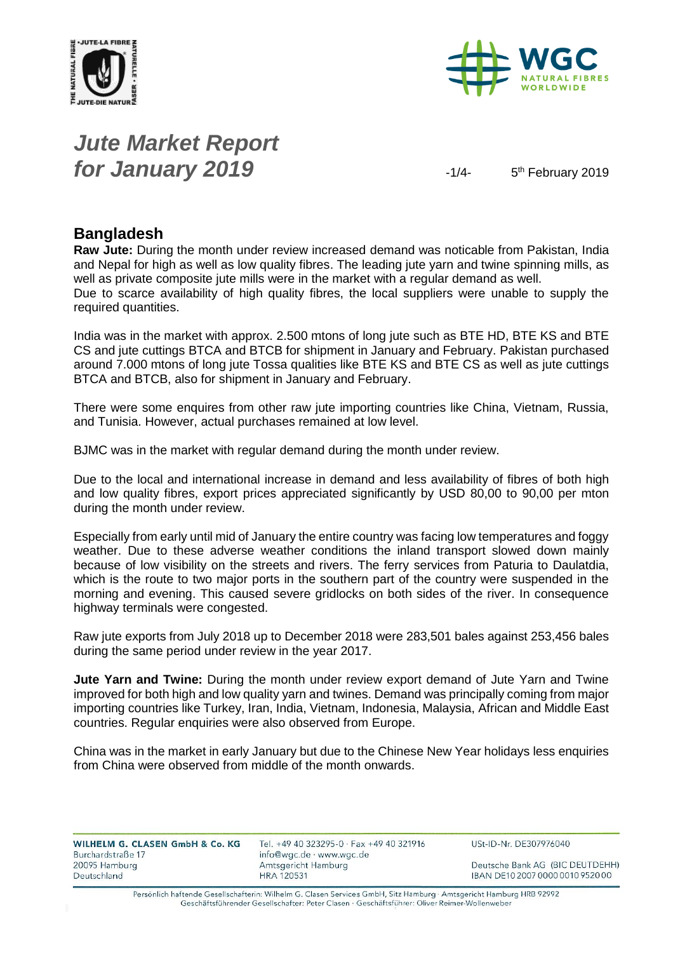



# *Jute Market Report for January 2019*  $\frac{1}{4}$

5<sup>th</sup> February 2019

#### **Bangladesh**

**Raw Jute:** During the month under review increased demand was noticable from Pakistan, India and Nepal for high as well as low quality fibres. The leading jute yarn and twine spinning mills, as well as private composite jute mills were in the market with a regular demand as well. Due to scarce availability of high quality fibres, the local suppliers were unable to supply the required quantities.

India was in the market with approx. 2.500 mtons of long jute such as BTE HD, BTE KS and BTE CS and jute cuttings BTCA and BTCB for shipment in January and February. Pakistan purchased around 7.000 mtons of long jute Tossa qualities like BTE KS and BTE CS as well as jute cuttings BTCA and BTCB, also for shipment in January and February.

There were some enquires from other raw jute importing countries like China, Vietnam, Russia, and Tunisia. However, actual purchases remained at low level.

BJMC was in the market with regular demand during the month under review.

Due to the local and international increase in demand and less availability of fibres of both high and low quality fibres, export prices appreciated significantly by USD 80,00 to 90,00 per mton during the month under review.

Especially from early until mid of January the entire country was facing low temperatures and foggy weather. Due to these adverse weather conditions the inland transport slowed down mainly because of low visibility on the streets and rivers. The ferry services from Paturia to Daulatdia, which is the route to two major ports in the southern part of the country were suspended in the morning and evening. This caused severe gridlocks on both sides of the river. In consequence highway terminals were congested.

Raw jute exports from July 2018 up to December 2018 were 283,501 bales against 253,456 bales during the same period under review in the year 2017.

**Jute Yarn and Twine:** During the month under review export demand of Jute Yarn and Twine improved for both high and low quality yarn and twines. Demand was principally coming from major importing countries like Turkey, Iran, India, Vietnam, Indonesia, Malaysia, African and Middle East countries. Regular enquiries were also observed from Europe.

China was in the market in early January but due to the Chinese New Year holidays less enquiries from China were observed from middle of the month onwards.

| WILHELM G. CLASEN GmbH & Co. KG    | Tel. $+49$ 40 323295-0 $\cdot$ Fax $+49$ 40 321916 | USt-ID-Nr. DE307976040           |
|------------------------------------|----------------------------------------------------|----------------------------------|
| Burchardstraße 17<br>20095 Hamburg | info@wgc.de · www.wgc.de<br>Amtsgericht Hamburg    | Deutsche Bank AG (BIC DEUTDEHH)  |
| Deutschland                        | <b>HRA 120531</b>                                  | IBAN DE10 2007 0000 0010 9520 00 |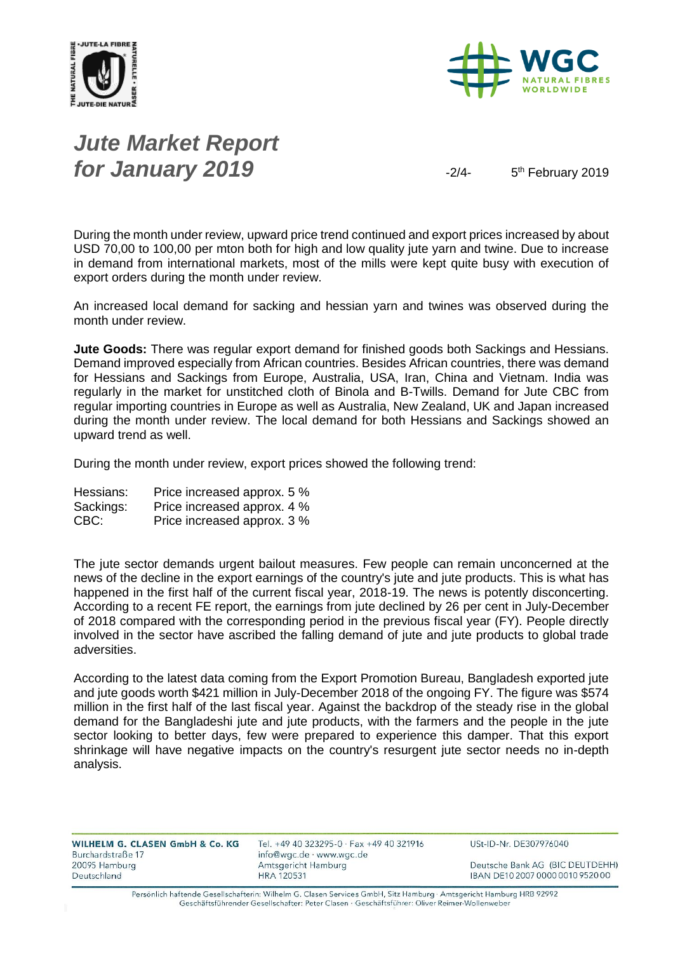



# *Jute Market Report for January 2019*  $\frac{1}{2}$

5<sup>th</sup> February 2019

During the month under review, upward price trend continued and export prices increased by about USD 70,00 to 100,00 per mton both for high and low quality jute yarn and twine. Due to increase in demand from international markets, most of the mills were kept quite busy with execution of export orders during the month under review.

An increased local demand for sacking and hessian yarn and twines was observed during the month under review.

**Jute Goods:** There was regular export demand for finished goods both Sackings and Hessians. Demand improved especially from African countries. Besides African countries, there was demand for Hessians and Sackings from Europe, Australia, USA, Iran, China and Vietnam. India was regularly in the market for unstitched cloth of Binola and B-Twills. Demand for Jute CBC from regular importing countries in Europe as well as Australia, New Zealand, UK and Japan increased during the month under review. The local demand for both Hessians and Sackings showed an upward trend as well.

During the month under review, export prices showed the following trend:

| Hessians: | Price increased approx. 5 % |
|-----------|-----------------------------|
| Sackings: | Price increased approx. 4 % |
| CBC:      | Price increased approx. 3 % |

The jute sector demands urgent bailout measures. Few people can remain unconcerned at the news of the decline in the export earnings of the country's jute and jute products. This is what has happened in the first half of the current fiscal year, 2018-19. The news is potently disconcerting. According to a recent FE report, the earnings from jute declined by 26 per cent in July-December of 2018 compared with the corresponding period in the previous fiscal year (FY). People directly involved in the sector have ascribed the falling demand of jute and jute products to global trade adversities.

According to the latest data coming from the Export Promotion Bureau, Bangladesh exported jute and jute goods worth \$421 million in July-December 2018 of the ongoing FY. The figure was \$574 million in the first half of the last fiscal year. Against the backdrop of the steady rise in the global demand for the Bangladeshi jute and jute products, with the farmers and the people in the jute sector looking to better days, few were prepared to experience this damper. That this export shrinkage will have negative impacts on the country's resurgent jute sector needs no in-depth analysis.

Tel. +49 40 323295-0 · Fax +49 40 321916 info@wgc.de · www.wgc.de Amtsgericht Hamburg **HRA 120531** 

USt-ID-Nr. DE307976040

Deutsche Bank AG (BIC DEUTDEHH) IBAN DE10 2007 0000 0010 9520 00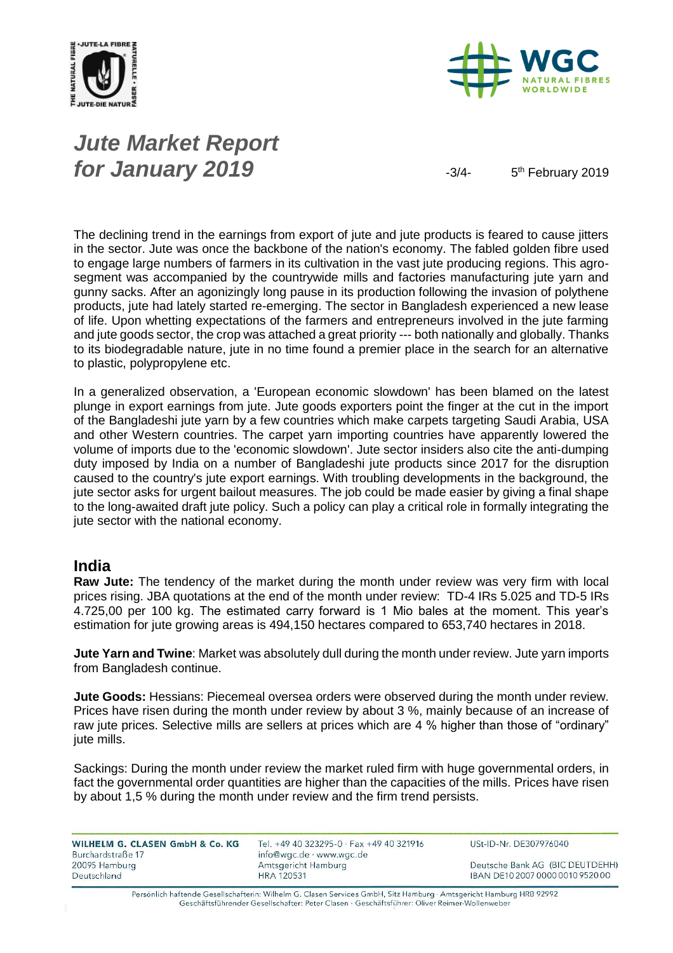



# *Jute Market Report for January 2019*  $\frac{3}{4}$

5<sup>th</sup> February 2019

The declining trend in the earnings from export of jute and jute products is feared to cause jitters in the sector. Jute was once the backbone of the nation's economy. The fabled golden fibre used to engage large numbers of farmers in its cultivation in the vast jute producing regions. This agrosegment was accompanied by the countrywide mills and factories manufacturing jute yarn and gunny sacks. After an agonizingly long pause in its production following the invasion of polythene products, jute had lately started re-emerging. The sector in Bangladesh experienced a new lease of life. Upon whetting expectations of the farmers and entrepreneurs involved in the jute farming and jute goods sector, the crop was attached a great priority --- both nationally and globally. Thanks to its biodegradable nature, jute in no time found a premier place in the search for an alternative to plastic, polypropylene etc.

In a generalized observation, a 'European economic slowdown' has been blamed on the latest plunge in export earnings from jute. Jute goods exporters point the finger at the cut in the import of the Bangladeshi jute yarn by a few countries which make carpets targeting Saudi Arabia, USA and other Western countries. The carpet yarn importing countries have apparently lowered the volume of imports due to the 'economic slowdown'. Jute sector insiders also cite the anti-dumping duty imposed by India on a number of Bangladeshi jute products since 2017 for the disruption caused to the country's jute export earnings. With troubling developments in the background, the jute sector asks for urgent bailout measures. The job could be made easier by giving a final shape to the long-awaited draft jute policy. Such a policy can play a critical role in formally integrating the jute sector with the national economy.

#### **India**

**Raw Jute:** The tendency of the market during the month under review was very firm with local prices rising. JBA quotations at the end of the month under review: TD-4 IRs 5.025 and TD-5 IRs 4.725,00 per 100 kg. The estimated carry forward is 1 Mio bales at the moment. This year's estimation for jute growing areas is 494,150 hectares compared to 653,740 hectares in 2018.

**Jute Yarn and Twine**: Market was absolutely dull during the month under review. Jute yarn imports from Bangladesh continue.

**Jute Goods:** Hessians: Piecemeal oversea orders were observed during the month under review. Prices have risen during the month under review by about 3 %, mainly because of an increase of raw jute prices. Selective mills are sellers at prices which are 4 % higher than those of "ordinary" jute mills.

Sackings: During the month under review the market ruled firm with huge governmental orders, in fact the governmental order quantities are higher than the capacities of the mills. Prices have risen by about 1,5 % during the month under review and the firm trend persists.

| WILHELM G. CLASEN GmbH & Co. KG |  |  |
|---------------------------------|--|--|
| Burchardstraße 17               |  |  |
| 20095 Hamburg                   |  |  |
| Deutschland                     |  |  |

Tel. +49 40 323295-0 · Fax +49 40 321916 info@wgc.de · www.wgc.de Amtsgericht Hamburg **HRA 120531** 

USt-ID-Nr. DE307976040

Deutsche Bank AG (BIC DEUTDEHH) IBAN DE10 2007 0000 0010 9520 00